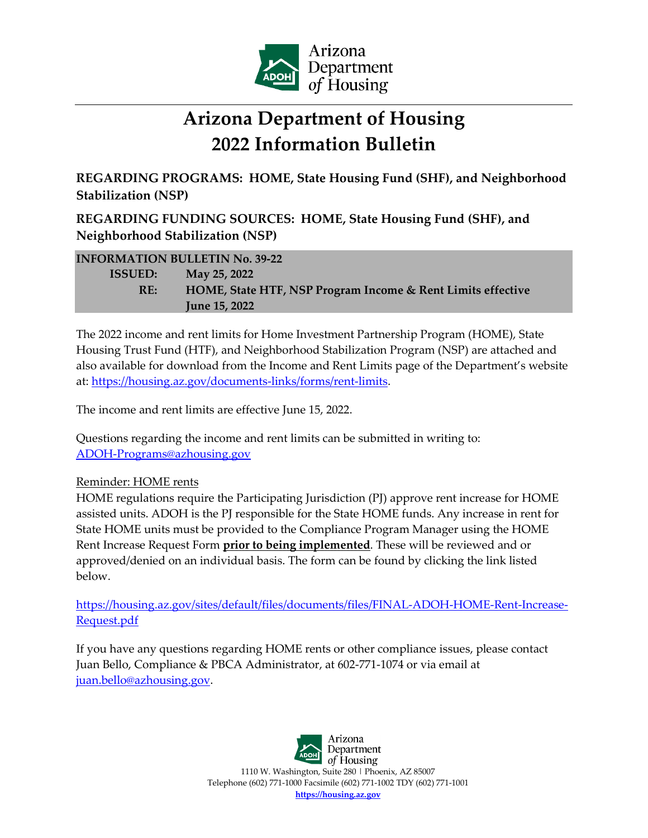

## **Arizona Department of Housing 2022 Information Bulletin**

**REGARDING PROGRAMS: HOME, State Housing Fund (SHF), and Neighborhood Stabilization (NSP)**

**REGARDING FUNDING SOURCES: HOME, State Housing Fund (SHF), and Neighborhood Stabilization (NSP)**

| <b>INFORMATION BULLETIN No. 39-22</b> |                                                             |
|---------------------------------------|-------------------------------------------------------------|
| <b>ISSUED:</b>                        | May 25, 2022                                                |
| RE:                                   | HOME, State HTF, NSP Program Income & Rent Limits effective |
|                                       | <b>June 15, 2022</b>                                        |

The 2022 income and rent limits for Home Investment Partnership Program (HOME), State Housing Trust Fund (HTF), and Neighborhood Stabilization Program (NSP) are attached and also available for download from the Income and Rent Limits page of the Department's website at: [https://housing.az.gov/documents-links/forms/rent-limits.](https://housing.az.gov/documents-links/forms/rent-limits)

The income and rent limits are effective June 15, 2022.

Questions regarding the income and rent limits can be submitted in writing to: [ADOH-Programs@azhousing.gov](mailto:ADOH%E2%80%90Programs@azhousing.gov)

## Reminder: HOME rents

HOME regulations require the Participating Jurisdiction (PJ) approve rent increase for HOME assisted units. ADOH is the PJ responsible for the State HOME funds. Any increase in rent for State HOME units must be provided to the Compliance Program Manager using the HOME Rent Increase Request Form **prior to being implemented**. These will be reviewed and or approved/denied on an individual basis. The form can be found by clicking the link listed below.

[https://housing.az.gov/sites/default/files/documents/files/FINAL-ADOH-HOME-Rent-Increase-](https://housing.az.gov/sites/default/files/documents/files/FINAL-ADOH-HOME-Rent-Increase-Request.pdf)[Request.pdf](https://housing.az.gov/sites/default/files/documents/files/FINAL-ADOH-HOME-Rent-Increase-Request.pdf)

If you have any questions regarding HOME rents or other compliance issues, please contact Juan Bello, Compliance & PBCA Administrator, at 602-771-1074 or via email at [juan.bello@azhousing.gov.](mailto:juan.bello@azhousing.gov)

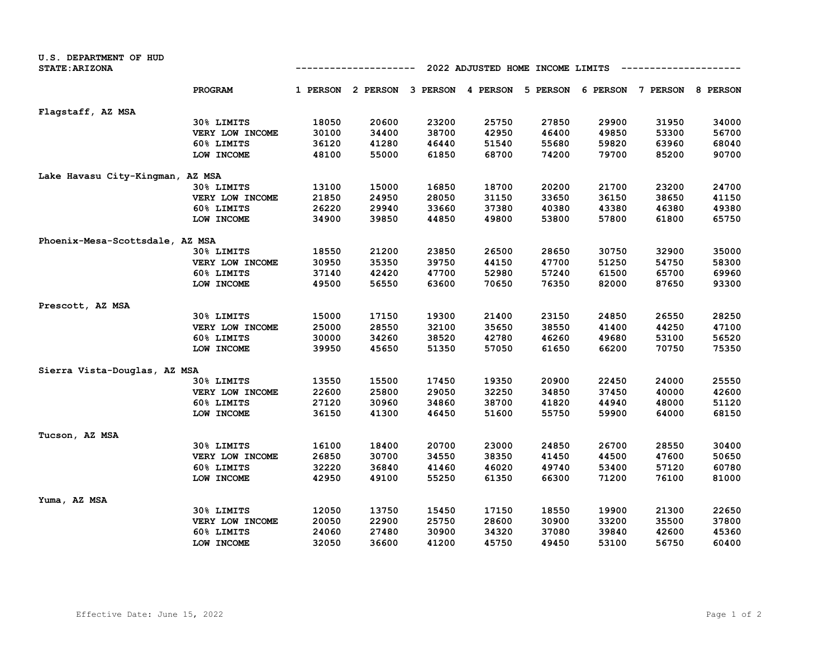| <b>U.S. DEPARTMENT OF HUD</b>    |                 |                                  |                   |                   |       |          |          |          |                 |
|----------------------------------|-----------------|----------------------------------|-------------------|-------------------|-------|----------|----------|----------|-----------------|
| <b>STATE: ARIZONA</b>            |                 | 2022 ADJUSTED HOME INCOME LIMITS |                   |                   |       |          |          |          |                 |
|                                  | PROGRAM         |                                  | 1 PERSON 2 PERSON | 3 PERSON 4 PERSON |       | 5 PERSON | 6 PERSON | 7 PERSON | <b>8 PERSON</b> |
| Flagstaff, AZ MSA                |                 |                                  |                   |                   |       |          |          |          |                 |
|                                  | 30% LIMITS      | 18050                            | 20600             | 23200             | 25750 | 27850    | 29900    | 31950    | 34000           |
|                                  | VERY LOW INCOME | 30100                            | 34400             | 38700             | 42950 | 46400    | 49850    | 53300    | 56700           |
|                                  | 60% LIMITS      | 36120                            | 41280             | 46440             | 51540 | 55680    | 59820    | 63960    | 68040           |
|                                  | LOW INCOME      | 48100                            | 55000             | 61850             | 68700 | 74200    | 79700    | 85200    | 90700           |
| Lake Havasu City-Kingman, AZ MSA |                 |                                  |                   |                   |       |          |          |          |                 |
|                                  | 30% LIMITS      | 13100                            | 15000             | 16850             | 18700 | 20200    | 21700    | 23200    | 24700           |
|                                  | VERY LOW INCOME | 21850                            | 24950             | 28050             | 31150 | 33650    | 36150    | 38650    | 41150           |
|                                  | 60% LIMITS      | 26220                            | 29940             | 33660             | 37380 | 40380    | 43380    | 46380    | 49380           |
|                                  | LOW INCOME      | 34900                            | 39850             | 44850             | 49800 | 53800    | 57800    | 61800    | 65750           |
| Phoenix-Mesa-Scottsdale, AZ MSA  |                 |                                  |                   |                   |       |          |          |          |                 |
|                                  | 30% LIMITS      | 18550                            | 21200             | 23850             | 26500 | 28650    | 30750    | 32900    | 35000           |
|                                  | VERY LOW INCOME | 30950                            | 35350             | 39750             | 44150 | 47700    | 51250    | 54750    | 58300           |
|                                  | 60% LIMITS      | 37140                            | 42420             | 47700             | 52980 | 57240    | 61500    | 65700    | 69960           |
|                                  | LOW INCOME      | 49500                            | 56550             | 63600             | 70650 | 76350    | 82000    | 87650    | 93300           |
| Prescott, AZ MSA                 |                 |                                  |                   |                   |       |          |          |          |                 |
|                                  | 30% LIMITS      | 15000                            | 17150             | 19300             | 21400 | 23150    | 24850    | 26550    | 28250           |
|                                  | VERY LOW INCOME | 25000                            | 28550             | 32100             | 35650 | 38550    | 41400    | 44250    | 47100           |
|                                  | 60% LIMITS      | 30000                            | 34260             | 38520             | 42780 | 46260    | 49680    | 53100    | 56520           |
|                                  | LOW INCOME      | 39950                            | 45650             | 51350             | 57050 | 61650    | 66200    | 70750    | 75350           |
| Sierra Vista-Douglas, AZ MSA     |                 |                                  |                   |                   |       |          |          |          |                 |
|                                  | 30% LIMITS      | 13550                            | 15500             | 17450             | 19350 | 20900    | 22450    | 24000    | 25550           |
|                                  | VERY LOW INCOME | 22600                            | 25800             | 29050             | 32250 | 34850    | 37450    | 40000    | 42600           |
|                                  | 60% LIMITS      | 27120                            | 30960             | 34860             | 38700 | 41820    | 44940    | 48000    | 51120           |
|                                  | LOW INCOME      | 36150                            | 41300             | 46450             | 51600 | 55750    | 59900    | 64000    | 68150           |
| Tucson, AZ MSA                   |                 |                                  |                   |                   |       |          |          |          |                 |
|                                  | 30% LIMITS      | 16100                            | 18400             | 20700             | 23000 | 24850    | 26700    | 28550    | 30400           |
|                                  | VERY LOW INCOME | 26850                            | 30700             | 34550             | 38350 | 41450    | 44500    | 47600    | 50650           |
|                                  | 60% LIMITS      | 32220                            | 36840             | 41460             | 46020 | 49740    | 53400    | 57120    | 60780           |
|                                  | LOW INCOME      | 42950                            | 49100             | 55250             | 61350 | 66300    | 71200    | 76100    | 81000           |
| Yuma, AZ MSA                     |                 |                                  |                   |                   |       |          |          |          |                 |
|                                  | 30% LIMITS      | 12050                            | 13750             | 15450             | 17150 | 18550    | 19900    | 21300    | 22650           |
|                                  | VERY LOW INCOME | 20050                            | 22900             | 25750             | 28600 | 30900    | 33200    | 35500    | 37800           |
|                                  | 60% LIMITS      | 24060                            | 27480             | 30900             | 34320 | 37080    | 39840    | 42600    | 45360           |
|                                  | LOW INCOME      | 32050                            | 36600             | 41200             | 45750 | 49450    | 53100    | 56750    | 60400           |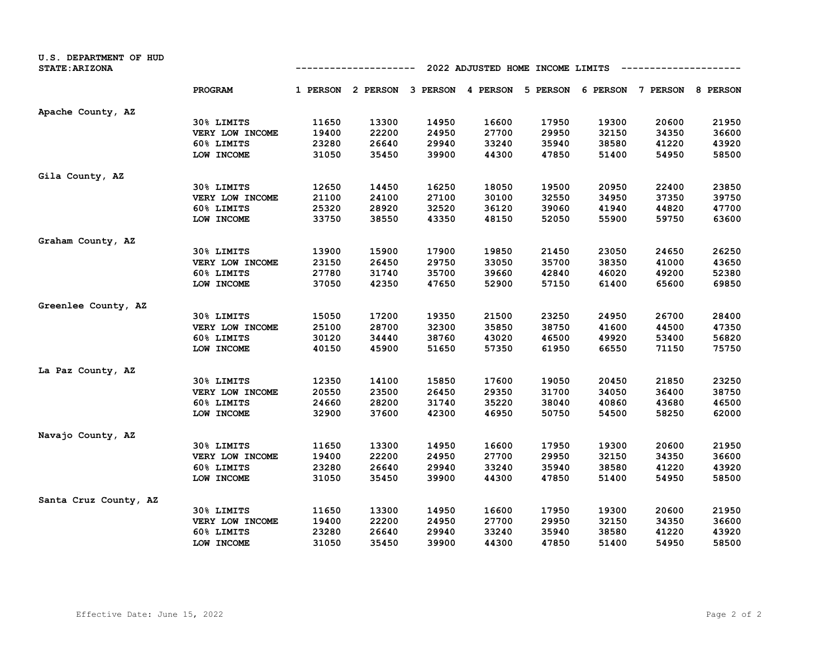| U.S. DEPARTMENT OF HUD<br><b>STATE: ARIZONA</b> |                 | 2022 ADJUSTED HOME INCOME LIMITS<br>-------- |                                              |       |       |       |       |                            |       |
|-------------------------------------------------|-----------------|----------------------------------------------|----------------------------------------------|-------|-------|-------|-------|----------------------------|-------|
|                                                 | <b>PROGRAM</b>  |                                              | 1 PERSON 2 PERSON 3 PERSON 4 PERSON 5 PERSON |       |       |       |       | 6 PERSON 7 PERSON 8 PERSON |       |
| Apache County, AZ                               |                 |                                              |                                              |       |       |       |       |                            |       |
|                                                 | 30% LIMITS      | 11650                                        | 13300                                        | 14950 | 16600 | 17950 | 19300 | 20600                      | 21950 |
|                                                 | VERY LOW INCOME | 19400                                        | 22200                                        | 24950 | 27700 | 29950 | 32150 | 34350                      | 36600 |
|                                                 | 60% LIMITS      | 23280                                        | 26640                                        | 29940 | 33240 | 35940 | 38580 | 41220                      | 43920 |
|                                                 | LOW INCOME      | 31050                                        | 35450                                        | 39900 | 44300 | 47850 | 51400 | 54950                      | 58500 |
| Gila County, AZ                                 |                 |                                              |                                              |       |       |       |       |                            |       |
|                                                 | 30% LIMITS      | 12650                                        | 14450                                        | 16250 | 18050 | 19500 | 20950 | 22400                      | 23850 |
|                                                 | VERY LOW INCOME | 21100                                        | 24100                                        | 27100 | 30100 | 32550 | 34950 | 37350                      | 39750 |
|                                                 | 60% LIMITS      | 25320                                        | 28920                                        | 32520 | 36120 | 39060 | 41940 | 44820                      | 47700 |
|                                                 | LOW INCOME      | 33750                                        | 38550                                        | 43350 | 48150 | 52050 | 55900 | 59750                      | 63600 |
| Graham County, AZ                               |                 |                                              |                                              |       |       |       |       |                            |       |
|                                                 | 30% LIMITS      | 13900                                        | 15900                                        | 17900 | 19850 | 21450 | 23050 | 24650                      | 26250 |
|                                                 | VERY LOW INCOME | 23150                                        | 26450                                        | 29750 | 33050 | 35700 | 38350 | 41000                      | 43650 |
|                                                 | 60% LIMITS      | 27780                                        | 31740                                        | 35700 | 39660 | 42840 | 46020 | 49200                      | 52380 |
|                                                 | LOW INCOME      | 37050                                        | 42350                                        | 47650 | 52900 | 57150 | 61400 | 65600                      | 69850 |
| Greenlee County, AZ                             |                 |                                              |                                              |       |       |       |       |                            |       |
|                                                 | 30% LIMITS      | 15050                                        | 17200                                        | 19350 | 21500 | 23250 | 24950 | 26700                      | 28400 |
|                                                 | VERY LOW INCOME | 25100                                        | 28700                                        | 32300 | 35850 | 38750 | 41600 | 44500                      | 47350 |
|                                                 | 60% LIMITS      | 30120                                        | 34440                                        | 38760 | 43020 | 46500 | 49920 | 53400                      | 56820 |
|                                                 | LOW INCOME      | 40150                                        | 45900                                        | 51650 | 57350 | 61950 | 66550 | 71150                      | 75750 |
| La Paz County, AZ                               |                 |                                              |                                              |       |       |       |       |                            |       |
|                                                 | 30% LIMITS      | 12350                                        | 14100                                        | 15850 | 17600 | 19050 | 20450 | 21850                      | 23250 |
|                                                 | VERY LOW INCOME | 20550                                        | 23500                                        | 26450 | 29350 | 31700 | 34050 | 36400                      | 38750 |
|                                                 | 60% LIMITS      | 24660                                        | 28200                                        | 31740 | 35220 | 38040 | 40860 | 43680                      | 46500 |
|                                                 | LOW INCOME      | 32900                                        | 37600                                        | 42300 | 46950 | 50750 | 54500 | 58250                      | 62000 |
| Navajo County, AZ                               |                 |                                              |                                              |       |       |       |       |                            |       |
|                                                 | 30% LIMITS      | 11650                                        | 13300                                        | 14950 | 16600 | 17950 | 19300 | 20600                      | 21950 |
|                                                 | VERY LOW INCOME | 19400                                        | 22200                                        | 24950 | 27700 | 29950 | 32150 | 34350                      | 36600 |
|                                                 | 60% LIMITS      | 23280                                        | 26640                                        | 29940 | 33240 | 35940 | 38580 | 41220                      | 43920 |
|                                                 | LOW INCOME      | 31050                                        | 35450                                        | 39900 | 44300 | 47850 | 51400 | 54950                      | 58500 |
| Santa Cruz County, AZ                           |                 |                                              |                                              |       |       |       |       |                            |       |
|                                                 | 30% LIMITS      | 11650                                        | 13300                                        | 14950 | 16600 | 17950 | 19300 | 20600                      | 21950 |
|                                                 | VERY LOW INCOME | 19400                                        | 22200                                        | 24950 | 27700 | 29950 | 32150 | 34350                      | 36600 |
|                                                 | 60% LIMITS      | 23280                                        | 26640                                        | 29940 | 33240 | 35940 | 38580 | 41220                      | 43920 |
|                                                 | LOW INCOME      | 31050                                        | 35450                                        | 39900 | 44300 | 47850 | 51400 | 54950                      | 58500 |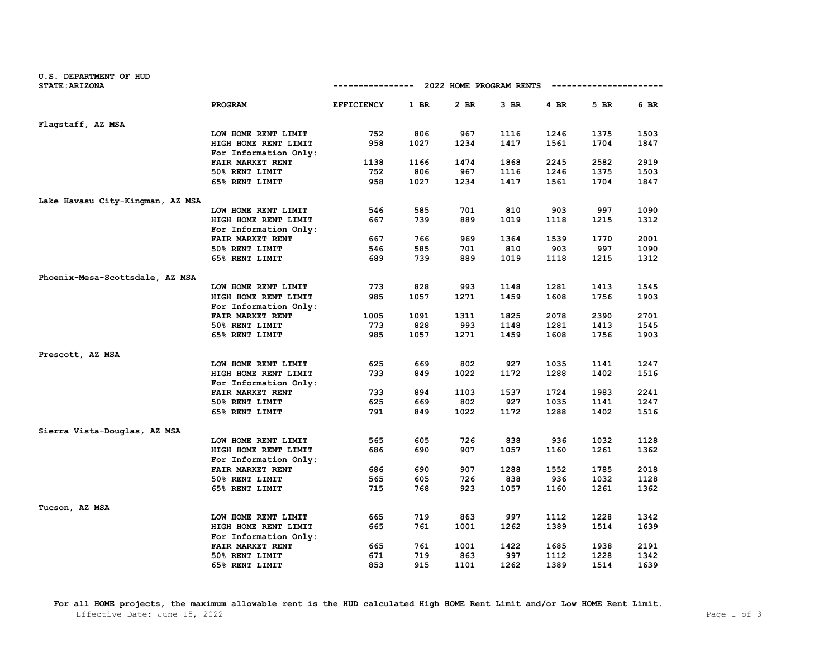| <b>U.S. DEPARTMENT OF HUD</b>    |                                    |                   |      |                                     |        |      |      |      |
|----------------------------------|------------------------------------|-------------------|------|-------------------------------------|--------|------|------|------|
| <b>STATE: ARIZONA</b>            |                                    |                   |      | ----------- 2022 HOME PROGRAM RENTS |        |      |      |      |
|                                  | <b>PROGRAM</b>                     | <b>EFFICIENCY</b> | 1 BR | 2 BR                                | $3$ BR | 4 BR | 5 BR | 6 BR |
| Flagstaff, AZ MSA                |                                    |                   |      |                                     |        |      |      |      |
|                                  | LOW HOME RENT LIMIT                | 752               | 806  | 967                                 | 1116   | 1246 | 1375 | 1503 |
|                                  | HIGH HOME RENT LIMIT               | 958               | 1027 | 1234                                | 1417   | 1561 | 1704 | 1847 |
|                                  | For Information Only:              |                   |      |                                     |        |      |      |      |
|                                  | FAIR MARKET RENT                   | 1138              | 1166 | 1474                                | 1868   | 2245 | 2582 | 2919 |
|                                  | 50% RENT LIMIT                     | 752               | 806  | 967                                 | 1116   | 1246 | 1375 | 1503 |
|                                  | 65% RENT LIMIT                     | 958               | 1027 | 1234                                | 1417   | 1561 | 1704 | 1847 |
| Lake Havasu City-Kingman, AZ MSA |                                    |                   |      |                                     |        |      |      |      |
|                                  | LOW HOME RENT LIMIT                | 546               | 585  | 701                                 | 810    | 903  | 997  | 1090 |
|                                  | HIGH HOME RENT LIMIT               | 667               | 739  | 889                                 | 1019   | 1118 | 1215 | 1312 |
|                                  | For Information Only:              |                   |      |                                     |        |      |      |      |
|                                  | FAIR MARKET RENT                   | 667               | 766  | 969                                 | 1364   | 1539 | 1770 | 2001 |
|                                  | 50% RENT LIMIT                     | 546               | 585  | 701                                 | 810    | 903  | 997  | 1090 |
|                                  | 65% RENT LIMIT                     | 689               | 739  | 889                                 | 1019   | 1118 | 1215 | 1312 |
|                                  |                                    |                   |      |                                     |        |      |      |      |
| Phoenix-Mesa-Scottsdale, AZ MSA  | LOW HOME RENT LIMIT                | 773               | 828  | 993                                 | 1148   | 1281 | 1413 | 1545 |
|                                  |                                    | 985               | 1057 | 1271                                | 1459   | 1608 | 1756 | 1903 |
|                                  | HIGH HOME RENT LIMIT               |                   |      |                                     |        |      |      |      |
|                                  | For Information Only:              | 1005              | 1091 | 1311                                | 1825   | 2078 | 2390 | 2701 |
|                                  | FAIR MARKET RENT<br>50% RENT LIMIT | 773               | 828  | 993                                 | 1148   | 1281 | 1413 | 1545 |
|                                  | 65% RENT LIMIT                     | 985               | 1057 | 1271                                | 1459   | 1608 | 1756 | 1903 |
|                                  |                                    |                   |      |                                     |        |      |      |      |
| Prescott, AZ MSA                 |                                    |                   |      |                                     |        |      |      |      |
|                                  | LOW HOME RENT LIMIT                | 625               | 669  | 802                                 | 927    | 1035 | 1141 | 1247 |
|                                  | HIGH HOME RENT LIMIT               | 733               | 849  | 1022                                | 1172   | 1288 | 1402 | 1516 |
|                                  | For Information Only:              |                   |      |                                     |        |      |      |      |
|                                  | FAIR MARKET RENT                   | 733               | 894  | 1103                                | 1537   | 1724 | 1983 | 2241 |
|                                  | 50% RENT LIMIT                     | 625               | 669  | 802                                 | 927    | 1035 | 1141 | 1247 |
|                                  | 65% RENT LIMIT                     | 791               | 849  | 1022                                | 1172   | 1288 | 1402 | 1516 |
| Sierra Vista-Douglas, AZ MSA     |                                    |                   |      |                                     |        |      |      |      |
|                                  | LOW HOME RENT LIMIT                | 565               | 605  | 726                                 | 838    | 936  | 1032 | 1128 |
|                                  | HIGH HOME RENT LIMIT               | 686               | 690  | 907                                 | 1057   | 1160 | 1261 | 1362 |
|                                  | For Information Only:              |                   |      |                                     |        |      |      |      |
|                                  | FAIR MARKET RENT                   | 686               | 690  | 907                                 | 1288   | 1552 | 1785 | 2018 |
|                                  | 50% RENT LIMIT                     | 565               | 605  | 726                                 | 838    | 936  | 1032 | 1128 |
|                                  | 65% RENT LIMIT                     | 715               | 768  | 923                                 | 1057   | 1160 | 1261 | 1362 |
| Tucson, AZ MSA                   |                                    |                   |      |                                     |        |      |      |      |
|                                  | LOW HOME RENT LIMIT                | 665               | 719  | 863                                 | 997    | 1112 | 1228 | 1342 |
|                                  | HIGH HOME RENT LIMIT               | 665               | 761  | 1001                                | 1262   | 1389 | 1514 | 1639 |
|                                  | For Information Only:              |                   |      |                                     |        |      |      |      |
|                                  | FAIR MARKET RENT                   | 665               | 761  | 1001                                | 1422   | 1685 | 1938 | 2191 |
|                                  | 50% RENT LIMIT                     | 671               | 719  | 863                                 | 997    | 1112 | 1228 | 1342 |
|                                  | 65% RENT LIMIT                     | 853               | 915  | 1101                                | 1262   | 1389 | 1514 | 1639 |

**For all HOME projects, the maximum allowable rent is the HUD calculated High HOME Rent Limit and/or Low HOME Rent Limit.**  Effective Date: June 15, 2022 2008 Page 1 of 3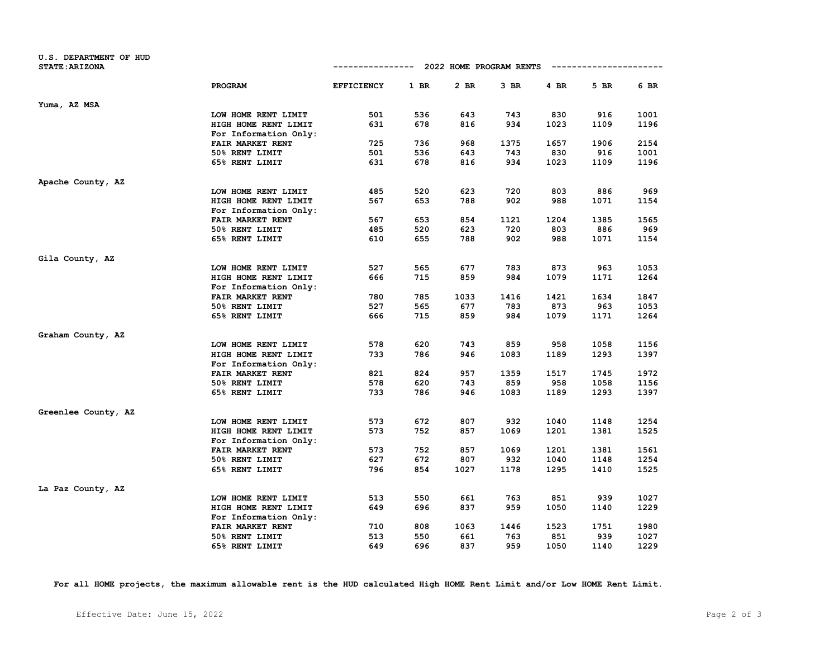| <b>U.S. DEPARTMENT OF HUD</b><br><b>STATE: ARIZONA</b> |                       |                   |      | ------------ 2022 HOME PROGRAM RENTS |        |      |      |      |
|--------------------------------------------------------|-----------------------|-------------------|------|--------------------------------------|--------|------|------|------|
|                                                        | PROGRAM               | <b>EFFICIENCY</b> | 1 BR | 2 BR                                 | $3$ BR | 4 BR | 5 BR | 6 BR |
| Yuma, AZ MSA                                           |                       |                   |      |                                      |        |      |      |      |
|                                                        | LOW HOME RENT LIMIT   | 501               | 536  | 643                                  | 743    | 830  | 916  | 1001 |
|                                                        | HIGH HOME RENT LIMIT  | 631               | 678  | 816                                  | 934    | 1023 | 1109 | 1196 |
|                                                        | For Information Only: |                   |      |                                      |        |      |      |      |
|                                                        | FAIR MARKET RENT      | 725               | 736  | 968                                  | 1375   | 1657 | 1906 | 2154 |
|                                                        | 50% RENT LIMIT        | 501               | 536  | 643                                  | 743    | 830  | 916  | 1001 |
|                                                        | 65% RENT LIMIT        | 631               | 678  | 816                                  | 934    | 1023 | 1109 | 1196 |
| Apache County, AZ                                      |                       |                   |      |                                      |        |      |      |      |
|                                                        | LOW HOME RENT LIMIT   | 485               | 520  | 623                                  | 720    | 803  | 886  | 969  |
|                                                        | HIGH HOME RENT LIMIT  | 567               | 653  | 788                                  | 902    | 988  | 1071 | 1154 |
|                                                        | For Information Only: |                   |      |                                      |        |      |      |      |
|                                                        | FAIR MARKET RENT      | 567               | 653  | 854                                  | 1121   | 1204 | 1385 | 1565 |
|                                                        | 50% RENT LIMIT        | 485               | 520  | 623                                  | 720    | 803  | 886  | 969  |
|                                                        | 65% RENT LIMIT        | 610               | 655  | 788                                  | 902    | 988  | 1071 | 1154 |
| Gila County, AZ                                        |                       |                   |      |                                      |        |      |      |      |
|                                                        | LOW HOME RENT LIMIT   | 527               | 565  | 677                                  | 783    | 873  | 963  | 1053 |
|                                                        | HIGH HOME RENT LIMIT  | 666               | 715  | 859                                  | 984    | 1079 | 1171 | 1264 |
|                                                        | For Information Only: |                   |      |                                      |        |      |      |      |
|                                                        | FAIR MARKET RENT      | 780               | 785  | 1033                                 | 1416   | 1421 | 1634 | 1847 |
|                                                        | 50% RENT LIMIT        | 527               | 565  | 677                                  | 783    | 873  | 963  | 1053 |
|                                                        | 65% RENT LIMIT        | 666               | 715  | 859                                  | 984    | 1079 | 1171 | 1264 |
| Graham County, AZ                                      |                       |                   |      |                                      |        |      |      |      |
|                                                        | LOW HOME RENT LIMIT   | 578               | 620  | 743                                  | 859    | 958  | 1058 | 1156 |
|                                                        | HIGH HOME RENT LIMIT  | 733               | 786  | 946                                  | 1083   | 1189 | 1293 | 1397 |
|                                                        | For Information Only: |                   |      |                                      |        |      |      |      |
|                                                        | FAIR MARKET RENT      | 821               | 824  | 957                                  | 1359   | 1517 | 1745 | 1972 |
|                                                        | 50% RENT LIMIT        | 578               | 620  | 743                                  | 859    | 958  | 1058 | 1156 |
|                                                        | 65% RENT LIMIT        | 733               | 786  | 946                                  | 1083   | 1189 | 1293 | 1397 |
| Greenlee County, AZ                                    |                       |                   |      |                                      |        |      |      |      |
|                                                        | LOW HOME RENT LIMIT   | 573               | 672  | 807                                  | 932    | 1040 | 1148 | 1254 |
|                                                        | HIGH HOME RENT LIMIT  | 573               | 752  | 857                                  | 1069   | 1201 | 1381 | 1525 |
|                                                        | For Information Only: |                   |      |                                      |        |      |      |      |
|                                                        | FAIR MARKET RENT      | 573               | 752  | 857                                  | 1069   | 1201 | 1381 | 1561 |
|                                                        | 50% RENT LIMIT        | 627               | 672  | 807                                  | 932    | 1040 | 1148 | 1254 |
|                                                        | 65% RENT LIMIT        | 796               | 854  | 1027                                 | 1178   | 1295 | 1410 | 1525 |
| La Paz County, AZ                                      |                       |                   |      |                                      |        |      |      |      |
|                                                        | LOW HOME RENT LIMIT   | 513               | 550  | 661                                  | 763    | 851  | 939  | 1027 |
|                                                        | HIGH HOME RENT LIMIT  | 649               | 696  | 837                                  | 959    | 1050 | 1140 | 1229 |
|                                                        | For Information Only: |                   |      |                                      |        |      |      |      |
|                                                        | FAIR MARKET RENT      | 710               | 808  | 1063                                 | 1446   | 1523 | 1751 | 1980 |
|                                                        | 50% RENT LIMIT        | 513               | 550  | 661                                  | 763    | 851  | 939  | 1027 |
|                                                        | 65% RENT LIMIT        | 649               | 696  | 837                                  | 959    | 1050 | 1140 | 1229 |

**For all HOME projects, the maximum allowable rent is the HUD calculated High HOME Rent Limit and/or Low HOME Rent Limit.**